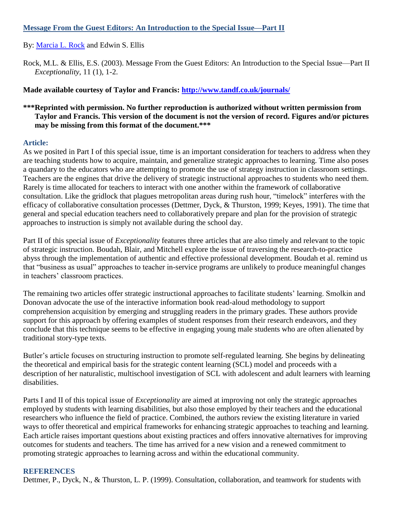## **Message From the Guest Editors: An Introduction to the Special Issue—Part II**

By: [Marcia L. Rock](http://libres.uncg.edu/ir/uncg/clist.aspx?id=3832) and Edwin S. Ellis

Rock, M.L. & Ellis, E.S. (2003). Message From the Guest Editors: An Introduction to the Special Issue—Part II *Exceptionality*, 11 (1), 1-2.

**Made available courtesy of Taylor and Francis:<http://www.tandf.co.uk/journals/>**

## **\*\*\*Reprinted with permission. No further reproduction is authorized without written permission from Taylor and Francis. This version of the document is not the version of record. Figures and/or pictures may be missing from this format of the document.\*\*\***

## **Article:**

As we posited in Part I of this special issue, time is an important consideration for teachers to address when they are teaching students how to acquire, maintain, and generalize strategic approaches to learning. Time also poses a quandary to the educators who are attempting to promote the use of strategy instruction in classroom settings. Teachers are the engines that drive the delivery of strategic instructional approaches to students who need them. Rarely is time allocated for teachers to interact with one another within the framework of collaborative consultation. Like the gridlock that plagues metropolitan areas during rush hour, "timelock" interferes with the efficacy of collaborative consultation processes (Dettmer, Dyck, & Thurston, 1999; Keyes, 1991). The time that general and special education teachers need to collaboratively prepare and plan for the provision of strategic approaches to instruction is simply not available during the school day.

Part II of this special issue of *Exceptionality* features three articles that are also timely and relevant to the topic of strategic instruction. Boudah, Blair, and Mitchell explore the issue of traversing the research-to-practice abyss through the implementation of authentic and effective professional development. Boudah et al. remind us that "business as usual" approaches to teacher in-service programs are unlikely to produce meaningful changes in teachers' classroom practices.

The remaining two articles offer strategic instructional approaches to facilitate students' learning. Smolkin and Donovan advocate the use of the interactive information book read-aloud methodology to support comprehension acquisition by emerging and struggling readers in the primary grades. These authors provide support for this approach by offering examples of student responses from their research endeavors, and they conclude that this technique seems to be effective in engaging young male students who are often alienated by traditional story-type texts.

Butler's article focuses on structuring instruction to promote self-regulated learning. She begins by delineating the theoretical and empirical basis for the strategic content learning (SCL) model and proceeds with a description of her naturalistic, multischool investigation of SCL with adolescent and adult learners with learning disabilities.

Parts I and II of this topical issue of *Exceptionality* are aimed at improving not only the strategic approaches employed by students with learning disabilities, but also those employed by their teachers and the educational researchers who influence the field of practice. Combined, the authors review the existing literature in varied ways to offer theoretical and empirical frameworks for enhancing strategic approaches to teaching and learning. Each article raises important questions about existing practices and offers innovative alternatives for improving outcomes for students and teachers. The time has arrived for a new vision and a renewed commitment to promoting strategic approaches to learning across and within the educational community.

## **REFERENCES**

Dettmer, P., Dyck, N., & Thurston, L. P. (1999). Consultation, collaboration, and teamwork for students with